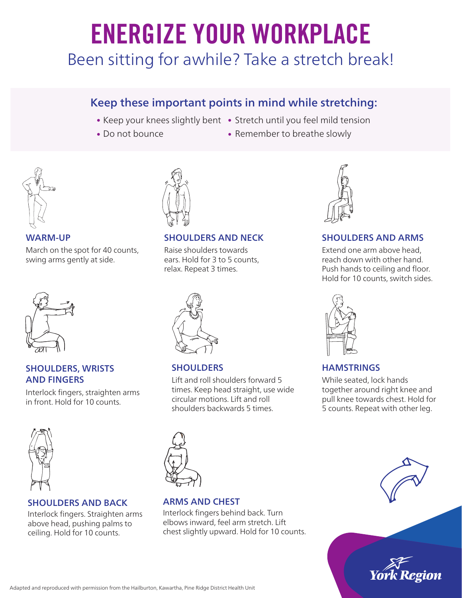# ENERGIZE YOUR WORKPLACE

Been sitting for awhile? Take a stretch break!

# Keep these important points in mind while stretching:

- 
- Do not bounce
- Keep your knees slightly bent Stretch until you feel mild tension
	- Remember to breathe slowly



March on the spot for 40 counts, swing arms gently at side.



#### SHOULDERS, WRISTS AND FINGERS

Interlock fingers, straighten arms in front. Hold for 10 counts.



# SHOULDERS AND BACK

Interlock fingers. Straighten arms above head, pushing palms to ceiling. Hold for 10 counts.



Raise shoulders towards ears. Hold for 3 to 5 counts, relax. Repeat 3 times.



# **SHOULDERS**

Lift and roll shoulders forward 5 times. Keep head straight, use wide circular motions. Lift and roll shoulders backwards 5 times.



# ARMS AND CHEST

Interlock fingers behind back. Turn elbows inward, feel arm stretch. Lift chest slightly upward. Hold for 10 counts.



# WARM-UP SHOULDERS AND NECK SHOULDERS AND ARMS

Extend one arm above head, reach down with other hand. Push hands to ceiling and floor. Hold for 10 counts, switch sides.



# **HAMSTRINGS**

While seated, lock hands together around right knee and pull knee towards chest. Hold for 5 counts. Repeat with other leg.